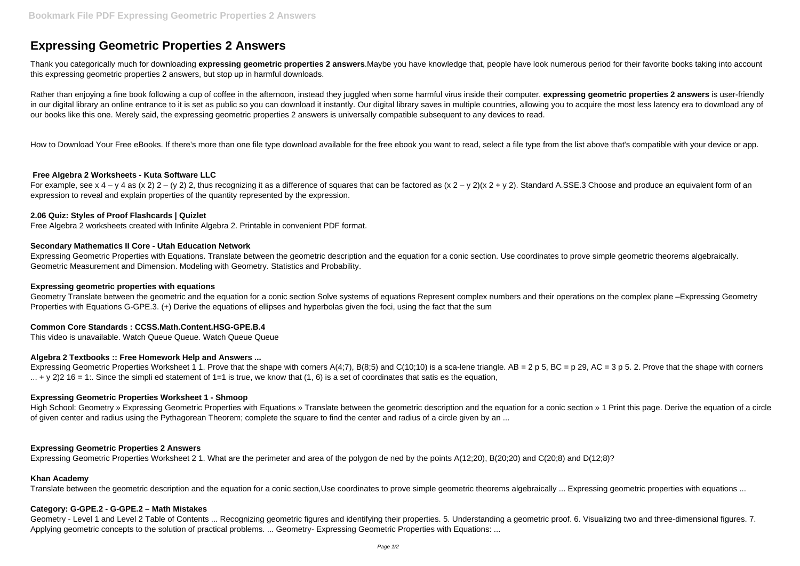# **Expressing Geometric Properties 2 Answers**

Thank you categorically much for downloading **expressing geometric properties 2 answers**.Maybe you have knowledge that, people have look numerous period for their favorite books taking into account this expressing geometric properties 2 answers, but stop up in harmful downloads.

Rather than enjoying a fine book following a cup of coffee in the afternoon, instead they juggled when some harmful virus inside their computer. **expressing geometric properties 2 answers** is user-friendly in our digital library an online entrance to it is set as public so you can download it instantly. Our digital library saves in multiple countries, allowing you to acquire the most less latency era to download any of our books like this one. Merely said, the expressing geometric properties 2 answers is universally compatible subsequent to any devices to read.

For example, see x 4 – y 4 as (x 2) 2 – (y 2) 2, thus recognizing it as a difference of squares that can be factored as (x 2 – y 2)(x 2 + y 2). Standard A.SSE.3 Choose and produce an equivalent form of an expression to reveal and explain properties of the quantity represented by the expression.

How to Download Your Free eBooks. If there's more than one file type download available for the free ebook you want to read, select a file type from the list above that's compatible with your device or app.

# **Free Algebra 2 Worksheets - Kuta Software LLC**

## **2.06 Quiz: Styles of Proof Flashcards | Quizlet**

Free Algebra 2 worksheets created with Infinite Algebra 2. Printable in convenient PDF format.

High School: Geometry » Expressing Geometric Properties with Equations » Translate between the geometric description and the equation for a conic section » 1 Print this page. Derive the equation of a circle of given center and radius using the Pythagorean Theorem; complete the square to find the center and radius of a circle given by an ...

# **Secondary Mathematics II Core - Utah Education Network**

Expressing Geometric Properties with Equations. Translate between the geometric description and the equation for a conic section. Use coordinates to prove simple geometric theorems algebraically. Geometric Measurement and Dimension. Modeling with Geometry. Statistics and Probability.

## **Expressing geometric properties with equations**

Geometry Translate between the geometric and the equation for a conic section Solve systems of equations Represent complex numbers and their operations on the complex plane –Expressing Geometry Properties with Equations G-GPE.3. (+) Derive the equations of ellipses and hyperbolas given the foci, using the fact that the sum

# **Common Core Standards : CCSS.Math.Content.HSG-GPE.B.4**

This video is unavailable. Watch Queue Queue. Watch Queue Queue

## **Algebra 2 Textbooks :: Free Homework Help and Answers ...**

Expressing Geometric Properties Worksheet 1 1. Prove that the shape with corners A(4;7), B(8;5) and C(10;10) is a sca-lene triangle. AB = 2 p 5, BC = p 29, AC = 3 p 5. 2. Prove that the shape with corners  $\dots$  + y 2)2 16 = 1:. Since the simpli ed statement of 1=1 is true, we know that (1, 6) is a set of coordinates that satis es the equation,

## **Expressing Geometric Properties Worksheet 1 - Shmoop**

## **Expressing Geometric Properties 2 Answers**

Expressing Geometric Properties Worksheet 2 1. What are the perimeter and area of the polygon de ned by the points A(12;20), B(20;20) and C(20;8) and D(12;8)?

## **Khan Academy**

Translate between the geometric description and the equation for a conic section,Use coordinates to prove simple geometric theorems algebraically ... Expressing geometric properties with equations ...

## **Category: G-GPE.2 - G-GPE.2 – Math Mistakes**

Geometry - Level 1 and Level 2 Table of Contents ... Recognizing geometric figures and identifying their properties. 5. Understanding a geometric proof. 6. Visualizing two and three-dimensional figures. 7. Applying geometric concepts to the solution of practical problems. ... Geometry- Expressing Geometric Properties with Equations: ...